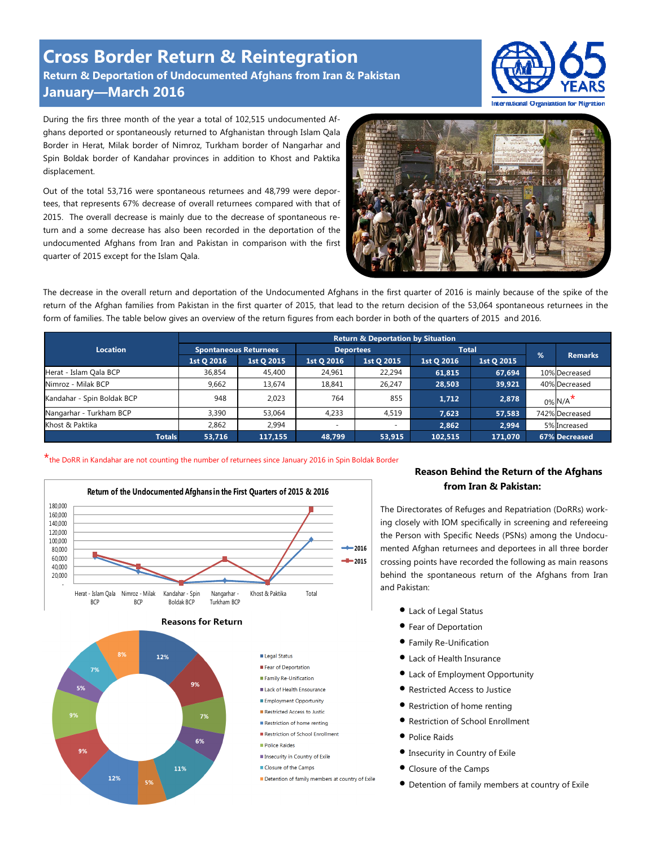**Cross Border Return & Reintegration Return & Deportation of Undocumented Afghans from Iran & Pakistan January—March 2016** 



During the firs three month of the year a total of 102,515 undocumented Afghans deported or spontaneously returned to Afghanistan through Islam Qala Border in Herat, Milak border of Nimroz, Turkham border of Nangarhar and Spin Boldak border of Kandahar provinces in addition to Khost and Paktika displacement.

Out of the total 53,716 were spontaneous returnees and 48,799 were deportees, that represents 67% decrease of overall returnees compared with that of 2015. The overall decrease is mainly due to the decrease of spontaneous return and a some decrease has also been recorded in the deportation of the undocumented Afghans from Iran and Pakistan in comparison with the first quarter of 2015 except for the Islam Qala.



The decrease in the overall return and deportation of the Undocumented Afghans in the first quarter of 2016 is mainly because of the spike of the return of the Afghan families from Pakistan in the first quarter of 2015, that lead to the return decision of the 53,064 spontaneous returnees in the form of families. The table below gives an overview of the return figures from each border in both of the quarters of 2015 and 2016.

|                            | <b>Return &amp; Deportation by Situation</b> |            |                          |                          |              |            |               |                        |  |
|----------------------------|----------------------------------------------|------------|--------------------------|--------------------------|--------------|------------|---------------|------------------------|--|
| <b>Location</b>            | Spontaneous Returnees                        |            | <b>Deportees</b>         |                          | <b>Total</b> |            | $\frac{9}{6}$ |                        |  |
|                            | 1st Q 2016                                   | 1st Q 2015 | 1st Q 2016               | 1st Q 2015               | 1st Q 2016   | 1st Q 2015 |               | <b>Remarks</b>         |  |
| Herat - Islam Qala BCP     | 36,854                                       | 45,400     | 24,961                   | 22,294                   | 61,815       | 67,694     |               | 10% Decreased          |  |
| Nimroz - Milak BCP         | 9.662                                        | 13,674     | 18.841                   | 26.247                   | 28,503       | 39,921     |               | 40% Decreased          |  |
| Kandahar - Spin Boldak BCP | 948                                          | 2.023      | 764                      | 855                      | 1.712        | 2,878      |               | $0\%$ N/A <sup>*</sup> |  |
| Nangarhar - Turkham BCP    | 3,390                                        | 53.064     | 4.233                    | 4,519                    | 7.623        | 57,583     |               | 742% Decreased         |  |
| Khost & Paktika            | 2,862                                        | 2,994      | $\overline{\phantom{a}}$ | $\overline{\phantom{a}}$ | 2.862        | 2,994      |               | 5% Increased           |  |
| <b>Totals</b>              | 53,716                                       | 117,155    | 48.799                   | 53,915                   | 102,515      | 171.070    |               | 67% Decreased          |  |

## \*the DoRR in Kandahar are not counting the number of returnees since January 2016 in Spin Boldak Border







## **Reason Behind the Return of the Afghans from Iran & Pakistan:**

The Directorates of Refuges and Repatriation (DoRRs) working closely with IOM specifically in screening and refereeing the Person with Specific Needs (PSNs) among the Undocumented Afghan returnees and deportees in all three border crossing points have recorded the following as main reasons behind the spontaneous return of the Afghans from Iran and Pakistan:

- Lack of Legal Status
- Fear of Deportation
- Family Re-Unification
- Lack of Health Insurance
- Lack of Employment Opportunity
- Restricted Access to Justice
- Restriction of home renting
- Restriction of School Enrollment
- Police Raids
- Insecurity in Country of Exile
- Closure of the Camps
- Detention of family members at country of Exile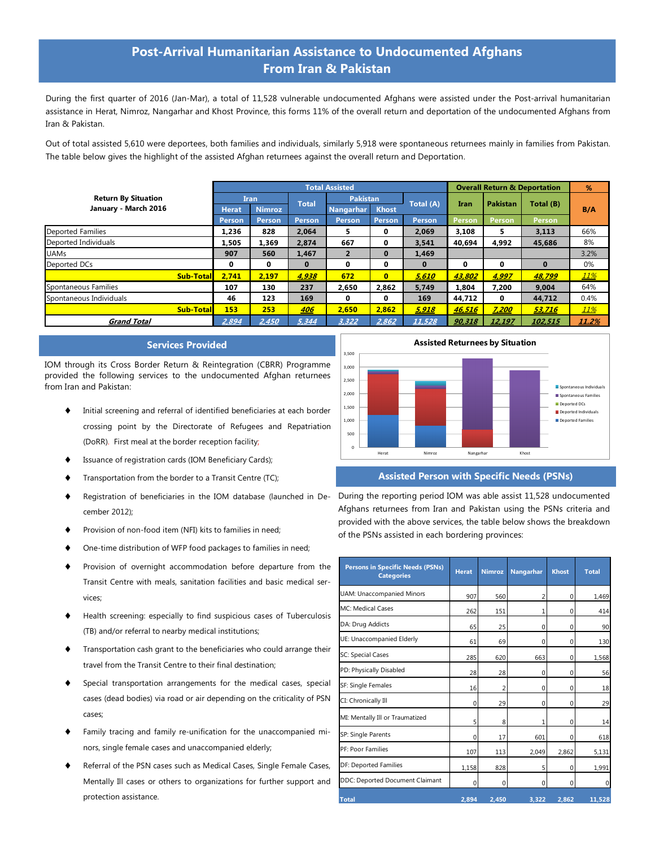# **Post-Arrival Humanitarian Assistance to Undocumented Afghans From Iran & Pakistan**

During the first quarter of 2016 (Jan-Mar), a total of 11,528 vulnerable undocumented Afghans were assisted under the Post-arrival humanitarian assistance in Herat, Nimroz, Nangarhar and Khost Province, this forms 11% of the overall return and deportation of the undocumented Afghans from Iran & Pakistan.

Out of total assisted 5,610 were deportees, both families and individuals, similarly 5,918 were spontaneous returnees mainly in families from Pakistan. The table below gives the highlight of the assisted Afghan returnees against the overall return and Deportation.

|                            | <b>Total Assisted</b> |               |              |                  |                |           |               | <b>Overall Return &amp; Deportation</b> |               |       |
|----------------------------|-----------------------|---------------|--------------|------------------|----------------|-----------|---------------|-----------------------------------------|---------------|-------|
| <b>Return By Situation</b> | Iran                  |               | <b>Total</b> | <b>Pakistan</b>  |                | Total (A) |               | <b>Pakistan</b>                         | Total (B)     |       |
| January - March 2016       | <b>Herat</b>          | <b>Nimroz</b> |              | <b>Nangarhar</b> | <b>Khost</b>   |           | <b>Iran</b>   |                                         |               | B/A   |
|                            | Person                | <b>Person</b> | Person       | <b>Person</b>    | Person         | Person    | <b>Person</b> | Person                                  | <b>Person</b> |       |
| <b>Deported Families</b>   | 1,236                 | 828           | 2.064        | 5.               | 0              | 2.069     | 3,108         | 5.                                      | 3,113         | 66%   |
| Deported Individuals       | 1.505                 | 1.369         | 2.874        | 667              | 0              | 3.541     | 40.694        | 4.992                                   | 45.686        | 8%    |
| <b>UAMs</b>                | 907                   | 560           | 1,467        | $\mathbf{2}$     | $\bf{0}$       | 1,469     |               |                                         |               | 3.2%  |
| Deported DCs               | 0                     | 0             | $\bf{0}$     | 0                | 0              | $\bf{0}$  | 0             | 0                                       | $\Omega$      | 0%    |
| <b>Sub-Total</b>           | 2.741                 | 2.197         | 4,938        | 672              | $\overline{0}$ | 5,610     | 43,802        | 4,997                                   | 48,799        | 11%   |
| Spontaneous Families       | 107                   | 130           | 237          | 2.650            | 2,862          | 5,749     | 1.804         | 7,200                                   | 9,004         | 64%   |
| Spontaneous Individuals    | 46                    | 123           | 169          | 0                | 0              | 169       | 44,712        | $\bf{0}$                                | 44,712        | 0.4%  |
| <b>Sub-Total</b>           | 153                   | 253           | 406          | 2.650            | 2.862          | 5,918     | 46.516        | 7,200                                   | 53,716        | 11%   |
| <b>Grand Total</b>         | 2,894                 | 2,450         | 5,344        | 3,322            | 2,862          | 11,528    | 90,318        | 12,197                                  | 102,515       | 11.2% |

#### **Services Provided**

IOM through its Cross Border Return & Reintegration (CBRR) Programme provided the following services to the undocumented Afghan returnees from Iran and Pakistan:

- ♦ Initial screening and referral of identified beneficiaries at each border crossing point by the Directorate of Refugees and Repatriation (DoRR). First meal at the border reception facility;
- ♦ Issuance of registration cards (IOM Beneficiary Cards);
- Transportation from the border to a Transit Centre (TC);
- ♦ Registration of beneficiaries in the IOM database (launched in December 2012);
- ♦ Provision of non-food item (NFI) kits to families in need;
- One-time distribution of WFP food packages to families in need;
- ♦ Provision of overnight accommodation before departure from the Transit Centre with meals, sanitation facilities and basic medical services;
- ♦ Health screening: especially to find suspicious cases of Tuberculosis (TB) and/or referral to nearby medical institutions;
- ♦ Transportation cash grant to the beneficiaries who could arrange their travel from the Transit Centre to their final destination;
- ♦ Special transportation arrangements for the medical cases, special cases (dead bodies) via road or air depending on the criticality of PSN cases;
- Family tracing and family re-unification for the unaccompanied minors, single female cases and unaccompanied elderly;
- ♦ Referral of the PSN cases such as Medical Cases, Single Female Cases, Mentally Ill cases or others to organizations for further support and protection assistance.



## **Assisted Person with Specific Needs (PSNs)**

During the reporting period IOM was able assist 11,528 undocumented Afghans returnees from Iran and Pakistan using the PSNs criteria and provided with the above services, the table below shows the breakdown of the PSNs assisted in each bordering provinces:

| <b>Persons in Specific Needs (PSNs)</b><br><b>Categories</b> | <b>Herat</b> | <b>Nimroz</b> | Nangarhar      | <b>Khost</b> | <b>Total</b> |
|--------------------------------------------------------------|--------------|---------------|----------------|--------------|--------------|
| <b>UAM: Unaccompanied Minors</b>                             | 907          | 560           | $\overline{2}$ | $\Omega$     | 1,469        |
| <b>MC: Medical Cases</b>                                     | 262          | 151           | 1              | $\Omega$     | 414          |
| DA: Drug Addicts                                             | 65           | 25            | 0              | 0            | 90           |
| UE: Unaccompanied Elderly                                    | 61           | 69            | $\Omega$       | $\Omega$     | 130          |
| SC: Special Cases                                            | 285          | 620           | 663            | $\Omega$     | 1,568        |
| PD: Physically Disabled                                      | 28           | 28            | 0              | 0            | 56           |
| SF: Single Females                                           | 16           | 2             | 0              | $\Omega$     | 18           |
| CI: Chronically Ill                                          | $\mathbf 0$  | 29            | 0              | 0            | 29           |
| MI: Mentally Ill or Traumatized                              | 5            | 8             | 1              | $\Omega$     | 14           |
| SP: Single Parents                                           | $\Omega$     | 17            | 601            | $\Omega$     | 618          |
| <b>PF: Poor Families</b>                                     | 107          | 113           | 2,049          | 2,862        | 5,131        |
| DF: Deported Families                                        | 1,158        | 828           | 5              | $\Omega$     | 1,991        |
| DDC: Deported Document Claimant                              | $\mathbf 0$  | 0             | $\mathbf 0$    | 0            | 0            |
| <b>Total</b>                                                 | 2.894        | 2,450         | 3,322          | 2,862        | 11,528       |